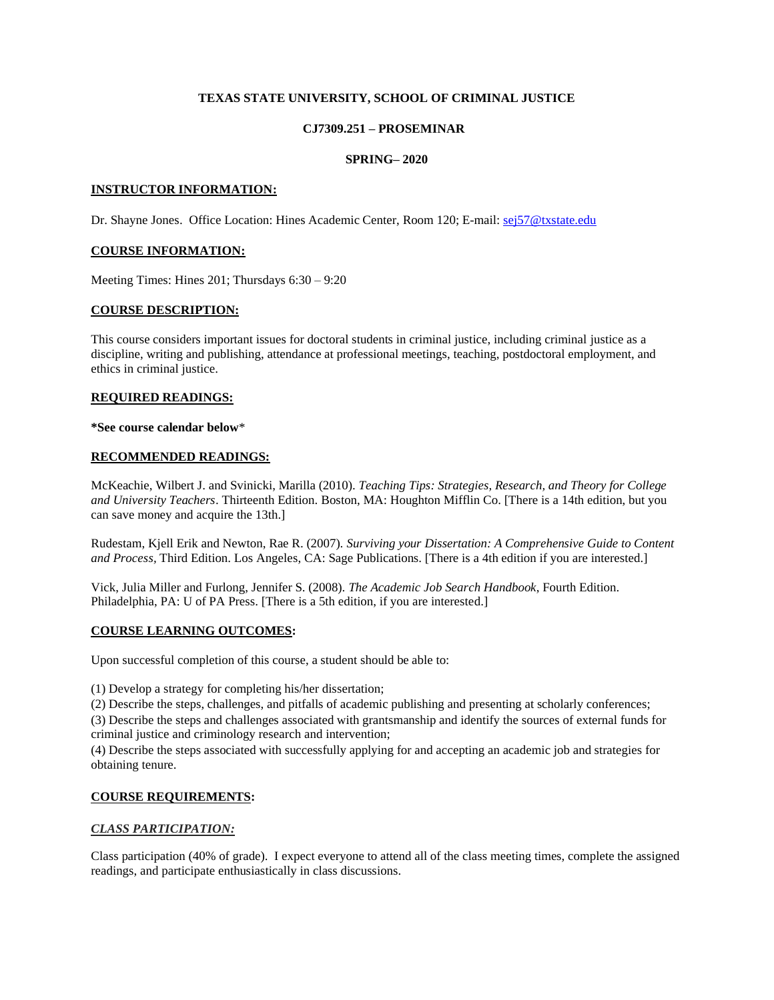# **TEXAS STATE UNIVERSITY, SCHOOL OF CRIMINAL JUSTICE**

# **CJ7309.251 – PROSEMINAR**

# **SPRING– 2020**

#### **INSTRUCTOR INFORMATION:**

Dr. Shayne Jones. Office Location: Hines Academic Center, Room 120; E-mail: [sej57@txstate.edu](mailto:sej57@txstate.edu)

## **COURSE INFORMATION:**

Meeting Times: Hines 201; Thursdays 6:30 – 9:20

#### **COURSE DESCRIPTION:**

This course considers important issues for doctoral students in criminal justice, including criminal justice as a discipline, writing and publishing, attendance at professional meetings, teaching, postdoctoral employment, and ethics in criminal justice.

#### **REQUIRED READINGS:**

#### **\*See course calendar below**\*

#### **RECOMMENDED READINGS:**

McKeachie, Wilbert J. and Svinicki, Marilla (2010). *Teaching Tips: Strategies, Research, and Theory for College and University Teachers*. Thirteenth Edition. Boston, MA: Houghton Mifflin Co. [There is a 14th edition, but you can save money and acquire the 13th.]

Rudestam, Kjell Erik and Newton, Rae R. (2007). *Surviving your Dissertation: A Comprehensive Guide to Content and Process,* Third Edition. Los Angeles, CA: Sage Publications. [There is a 4th edition if you are interested.]

Vick, Julia Miller and Furlong, Jennifer S. (2008). *The Academic Job Search Handbook*, Fourth Edition. Philadelphia, PA: U of PA Press. [There is a 5th edition, if you are interested.]

## **COURSE LEARNING OUTCOMES:**

Upon successful completion of this course, a student should be able to:

(1) Develop a strategy for completing his/her dissertation;

(2) Describe the steps, challenges, and pitfalls of academic publishing and presenting at scholarly conferences;

(3) Describe the steps and challenges associated with grantsmanship and identify the sources of external funds for criminal justice and criminology research and intervention;

(4) Describe the steps associated with successfully applying for and accepting an academic job and strategies for obtaining tenure.

## **COURSE REQUIREMENTS:**

## *CLASS PARTICIPATION:*

Class participation (40% of grade). I expect everyone to attend all of the class meeting times, complete the assigned readings, and participate enthusiastically in class discussions.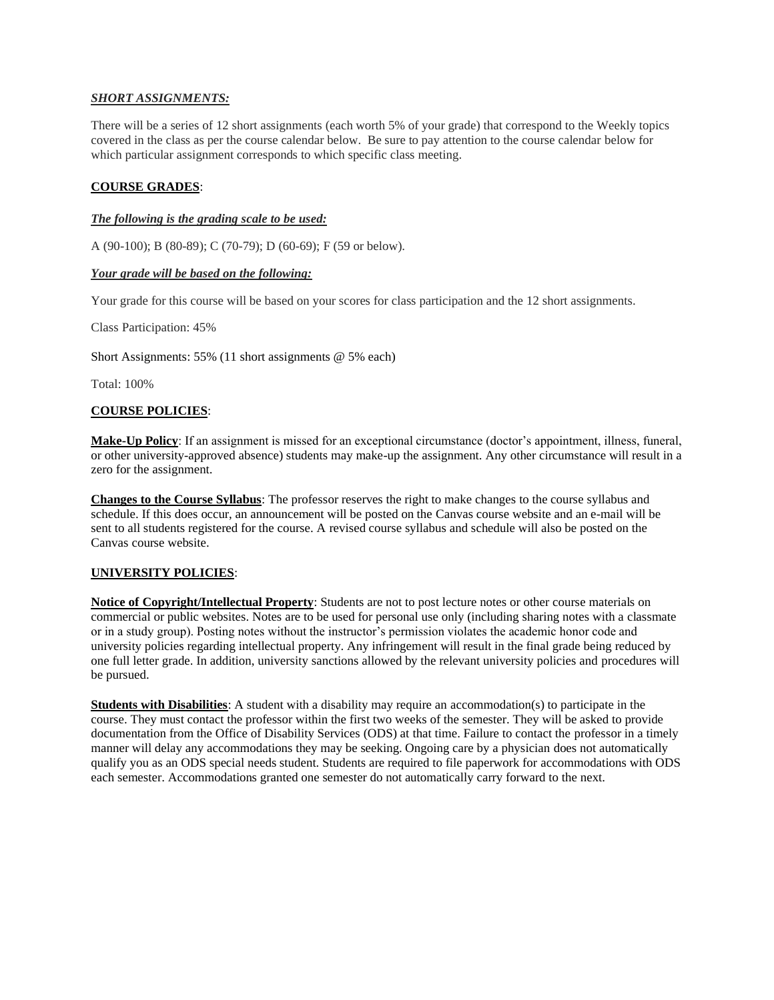# *SHORT ASSIGNMENTS:*

There will be a series of 12 short assignments (each worth 5% of your grade) that correspond to the Weekly topics covered in the class as per the course calendar below. Be sure to pay attention to the course calendar below for which particular assignment corresponds to which specific class meeting.

# **COURSE GRADES**:

## *The following is the grading scale to be used:*

A (90-100); B (80-89); C (70-79); D (60-69); F (59 or below).

## *Your grade will be based on the following:*

Your grade for this course will be based on your scores for class participation and the 12 short assignments.

Class Participation: 45%

Short Assignments: 55% (11 short assignments @ 5% each)

Total: 100%

## **COURSE POLICIES**:

**Make-Up Policy**: If an assignment is missed for an exceptional circumstance (doctor's appointment, illness, funeral, or other university-approved absence) students may make-up the assignment. Any other circumstance will result in a zero for the assignment.

**Changes to the Course Syllabus**: The professor reserves the right to make changes to the course syllabus and schedule. If this does occur, an announcement will be posted on the Canvas course website and an e-mail will be sent to all students registered for the course. A revised course syllabus and schedule will also be posted on the Canvas course website.

## **UNIVERSITY POLICIES**:

**Notice of Copyright/Intellectual Property**: Students are not to post lecture notes or other course materials on commercial or public websites. Notes are to be used for personal use only (including sharing notes with a classmate or in a study group). Posting notes without the instructor's permission violates the academic honor code and university policies regarding intellectual property. Any infringement will result in the final grade being reduced by one full letter grade. In addition, university sanctions allowed by the relevant university policies and procedures will be pursued.

**Students with Disabilities**: A student with a disability may require an accommodation(s) to participate in the course. They must contact the professor within the first two weeks of the semester. They will be asked to provide documentation from the Office of Disability Services (ODS) at that time. Failure to contact the professor in a timely manner will delay any accommodations they may be seeking. Ongoing care by a physician does not automatically qualify you as an ODS special needs student. Students are required to file paperwork for accommodations with ODS each semester. Accommodations granted one semester do not automatically carry forward to the next.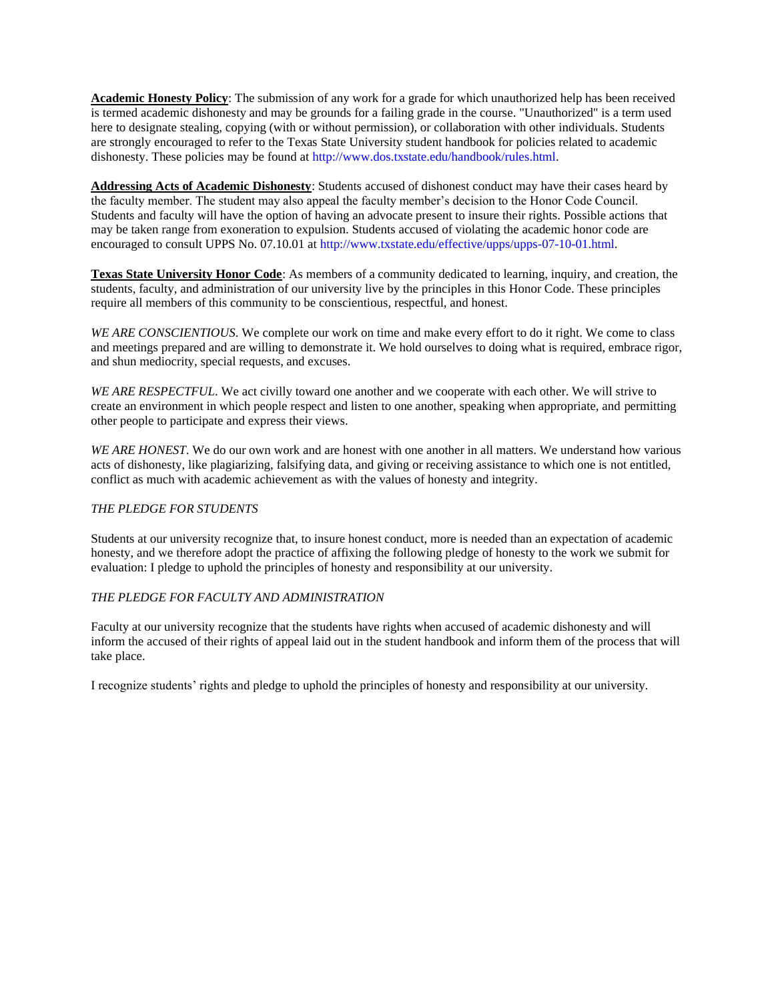**Academic Honesty Policy**: The submission of any work for a grade for which unauthorized help has been received is termed academic dishonesty and may be grounds for a failing grade in the course. "Unauthorized" is a term used here to designate stealing, copying (with or without permission), or collaboration with other individuals. Students are strongly encouraged to refer to the Texas State University student handbook for policies related to academic dishonesty. These policies may be found at http://www.dos.txstate.edu/handbook/rules.html.

**Addressing Acts of Academic Dishonesty**: Students accused of dishonest conduct may have their cases heard by the faculty member. The student may also appeal the faculty member's decision to the Honor Code Council. Students and faculty will have the option of having an advocate present to insure their rights. Possible actions that may be taken range from exoneration to expulsion. Students accused of violating the academic honor code are encouraged to consult UPPS No. 07.10.01 at http://www.txstate.edu/effective/upps/upps-07-10-01.html.

**Texas State University Honor Code**: As members of a community dedicated to learning, inquiry, and creation, the students, faculty, and administration of our university live by the principles in this Honor Code. These principles require all members of this community to be conscientious, respectful, and honest.

*WE ARE CONSCIENTIOUS*. We complete our work on time and make every effort to do it right. We come to class and meetings prepared and are willing to demonstrate it. We hold ourselves to doing what is required, embrace rigor, and shun mediocrity, special requests, and excuses.

*WE ARE RESPECTFUL*. We act civilly toward one another and we cooperate with each other. We will strive to create an environment in which people respect and listen to one another, speaking when appropriate, and permitting other people to participate and express their views.

*WE ARE HONEST*. We do our own work and are honest with one another in all matters. We understand how various acts of dishonesty, like plagiarizing, falsifying data, and giving or receiving assistance to which one is not entitled, conflict as much with academic achievement as with the values of honesty and integrity.

## *THE PLEDGE FOR STUDENTS*

Students at our university recognize that, to insure honest conduct, more is needed than an expectation of academic honesty, and we therefore adopt the practice of affixing the following pledge of honesty to the work we submit for evaluation: I pledge to uphold the principles of honesty and responsibility at our university.

## *THE PLEDGE FOR FACULTY AND ADMINISTRATION*

Faculty at our university recognize that the students have rights when accused of academic dishonesty and will inform the accused of their rights of appeal laid out in the student handbook and inform them of the process that will take place.

I recognize students' rights and pledge to uphold the principles of honesty and responsibility at our university.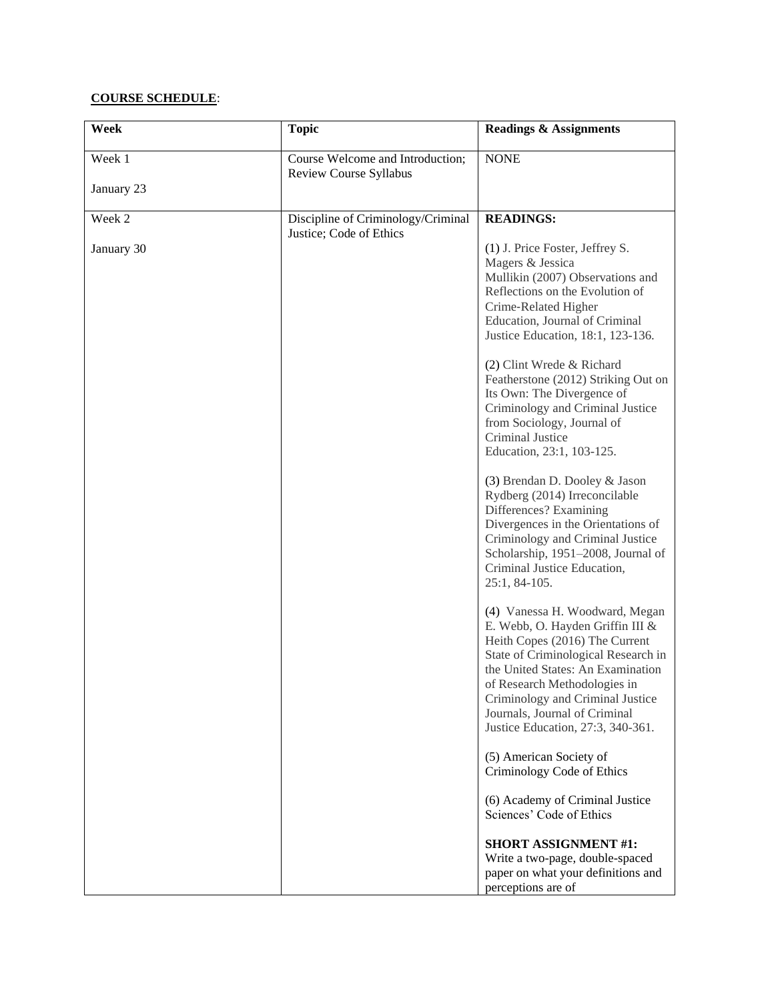# **COURSE SCHEDULE**:

| Week                 | <b>Topic</b>                                                  | <b>Readings &amp; Assignments</b>                                                                                                                                                                                                                                                                                                                                                                                                              |
|----------------------|---------------------------------------------------------------|------------------------------------------------------------------------------------------------------------------------------------------------------------------------------------------------------------------------------------------------------------------------------------------------------------------------------------------------------------------------------------------------------------------------------------------------|
| Week 1<br>January 23 | Course Welcome and Introduction;<br>Review Course Syllabus    | <b>NONE</b>                                                                                                                                                                                                                                                                                                                                                                                                                                    |
|                      |                                                               |                                                                                                                                                                                                                                                                                                                                                                                                                                                |
| Week 2               | Discipline of Criminology/Criminal<br>Justice; Code of Ethics | <b>READINGS:</b>                                                                                                                                                                                                                                                                                                                                                                                                                               |
| January 30           |                                                               | (1) J. Price Foster, Jeffrey S.<br>Magers & Jessica<br>Mullikin (2007) Observations and<br>Reflections on the Evolution of<br>Crime-Related Higher<br>Education, Journal of Criminal<br>Justice Education, 18:1, 123-136.<br>(2) Clint Wrede & Richard<br>Featherstone (2012) Striking Out on<br>Its Own: The Divergence of<br>Criminology and Criminal Justice<br>from Sociology, Journal of<br>Criminal Justice<br>Education, 23:1, 103-125. |
|                      |                                                               | (3) Brendan D. Dooley & Jason<br>Rydberg (2014) Irreconcilable<br>Differences? Examining<br>Divergences in the Orientations of<br>Criminology and Criminal Justice<br>Scholarship, 1951-2008, Journal of<br>Criminal Justice Education,<br>25:1, 84-105.                                                                                                                                                                                       |
|                      |                                                               | (4) Vanessa H. Woodward, Megan<br>E. Webb, O. Hayden Griffin III &<br>Heith Copes (2016) The Current<br>State of Criminological Research in<br>the United States: An Examination<br>of Research Methodologies in<br>Criminology and Criminal Justice<br>Journals, Journal of Criminal<br>Justice Education, 27:3, 340-361.                                                                                                                     |
|                      |                                                               | (5) American Society of<br>Criminology Code of Ethics                                                                                                                                                                                                                                                                                                                                                                                          |
|                      |                                                               | (6) Academy of Criminal Justice<br>Sciences' Code of Ethics                                                                                                                                                                                                                                                                                                                                                                                    |
|                      |                                                               | <b>SHORT ASSIGNMENT #1:</b><br>Write a two-page, double-spaced<br>paper on what your definitions and<br>perceptions are of                                                                                                                                                                                                                                                                                                                     |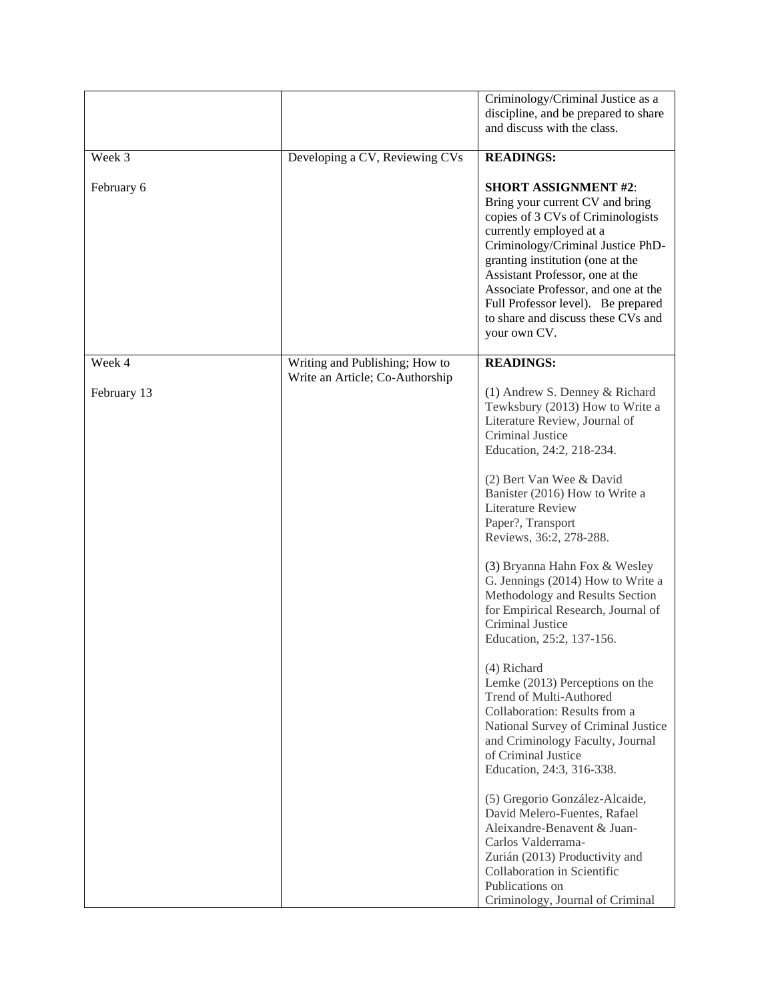|             |                                 | Criminology/Criminal Justice as a<br>discipline, and be prepared to share<br>and discuss with the class.                                                                                                                                                                                                                                                                      |
|-------------|---------------------------------|-------------------------------------------------------------------------------------------------------------------------------------------------------------------------------------------------------------------------------------------------------------------------------------------------------------------------------------------------------------------------------|
| Week 3      | Developing a CV, Reviewing CVs  | <b>READINGS:</b>                                                                                                                                                                                                                                                                                                                                                              |
| February 6  |                                 | <b>SHORT ASSIGNMENT #2:</b><br>Bring your current CV and bring<br>copies of 3 CVs of Criminologists<br>currently employed at a<br>Criminology/Criminal Justice PhD-<br>granting institution (one at the<br>Assistant Professor, one at the<br>Associate Professor, and one at the<br>Full Professor level). Be prepared<br>to share and discuss these CVs and<br>your own CV. |
| Week 4      | Writing and Publishing; How to  | <b>READINGS:</b>                                                                                                                                                                                                                                                                                                                                                              |
| February 13 | Write an Article; Co-Authorship | (1) Andrew S. Denney & Richard<br>Tewksbury (2013) How to Write a<br>Literature Review, Journal of<br>Criminal Justice<br>Education, 24:2, 218-234.                                                                                                                                                                                                                           |
|             |                                 | (2) Bert Van Wee & David<br>Banister (2016) How to Write a<br><b>Literature Review</b><br>Paper?, Transport<br>Reviews, 36:2, 278-288.                                                                                                                                                                                                                                        |
|             |                                 | (3) Bryanna Hahn Fox & Wesley<br>G. Jennings (2014) How to Write a<br>Methodology and Results Section<br>for Empirical Research, Journal of<br>Criminal Justice<br>Education, 25:2, 137-156.                                                                                                                                                                                  |
|             |                                 | (4) Richard<br>Lemke (2013) Perceptions on the<br>Trend of Multi-Authored<br>Collaboration: Results from a<br>National Survey of Criminal Justice<br>and Criminology Faculty, Journal<br>of Criminal Justice<br>Education, 24:3, 316-338.                                                                                                                                     |
|             |                                 | (5) Gregorio González-Alcaide,<br>David Melero-Fuentes, Rafael<br>Aleixandre-Benavent & Juan-<br>Carlos Valderrama-<br>Zurián (2013) Productivity and<br>Collaboration in Scientific<br>Publications on<br>Criminology, Journal of Criminal                                                                                                                                   |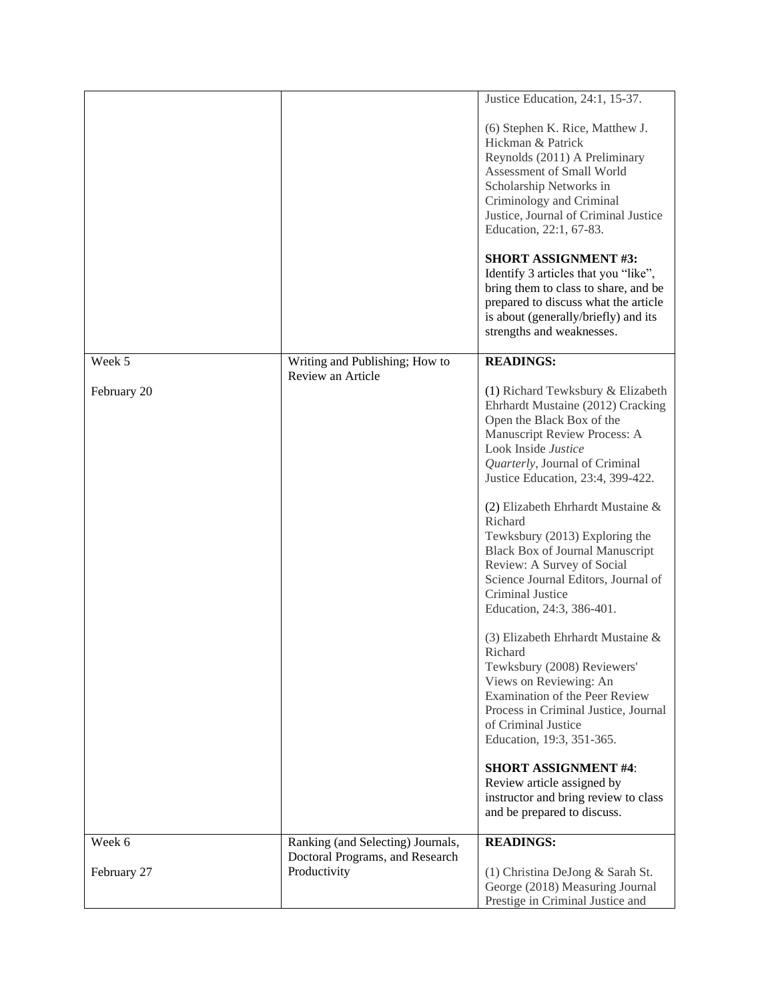|             |                                                                      | Justice Education, 24:1, 15-37.<br>(6) Stephen K. Rice, Matthew J.<br>Hickman & Patrick<br>Reynolds (2011) A Preliminary<br>Assessment of Small World<br>Scholarship Networks in<br>Criminology and Criminal                                                   |
|-------------|----------------------------------------------------------------------|----------------------------------------------------------------------------------------------------------------------------------------------------------------------------------------------------------------------------------------------------------------|
|             |                                                                      | Justice, Journal of Criminal Justice<br>Education, 22:1, 67-83.<br><b>SHORT ASSIGNMENT #3:</b><br>Identify 3 articles that you "like",<br>bring them to class to share, and be<br>prepared to discuss what the article<br>is about (generally/briefly) and its |
|             |                                                                      | strengths and weaknesses.                                                                                                                                                                                                                                      |
| Week 5      | Writing and Publishing; How to<br>Review an Article                  | <b>READINGS:</b>                                                                                                                                                                                                                                               |
| February 20 |                                                                      | (1) Richard Tewksbury & Elizabeth<br>Ehrhardt Mustaine (2012) Cracking<br>Open the Black Box of the<br>Manuscript Review Process: A<br>Look Inside Justice<br>Quarterly, Journal of Criminal<br>Justice Education, 23:4, 399-422.                              |
|             |                                                                      | (2) Elizabeth Ehrhardt Mustaine &<br>Richard<br>Tewksbury (2013) Exploring the<br><b>Black Box of Journal Manuscript</b><br>Review: A Survey of Social<br>Science Journal Editors, Journal of<br>Criminal Justice<br>Education, 24:3, 386-401.                 |
|             |                                                                      | (3) Elizabeth Ehrhardt Mustaine &<br>Richard<br>Tewksbury (2008) Reviewers'<br>Views on Reviewing: An<br>Examination of the Peer Review<br>Process in Criminal Justice, Journal<br>of Criminal Justice<br>Education, 19:3, 351-365.                            |
|             |                                                                      | <b>SHORT ASSIGNMENT #4:</b><br>Review article assigned by<br>instructor and bring review to class<br>and be prepared to discuss.                                                                                                                               |
| Week 6      | Ranking (and Selecting) Journals,<br>Doctoral Programs, and Research | <b>READINGS:</b>                                                                                                                                                                                                                                               |
| February 27 | Productivity                                                         | (1) Christina DeJong & Sarah St.<br>George (2018) Measuring Journal<br>Prestige in Criminal Justice and                                                                                                                                                        |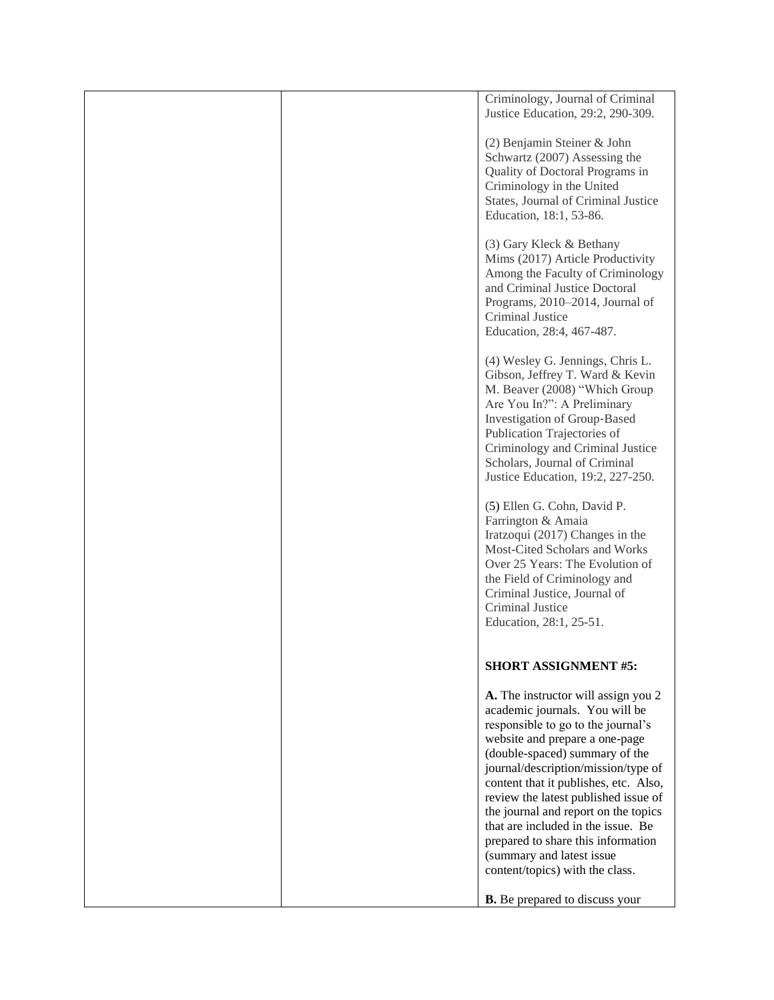|  | Criminology, Journal of Criminal<br>Justice Education, 29:2, 290-309.                                                                                                                                                                                                                                                                                                                                                                                                                       |
|--|---------------------------------------------------------------------------------------------------------------------------------------------------------------------------------------------------------------------------------------------------------------------------------------------------------------------------------------------------------------------------------------------------------------------------------------------------------------------------------------------|
|  | (2) Benjamin Steiner & John<br>Schwartz (2007) Assessing the<br>Quality of Doctoral Programs in<br>Criminology in the United<br>States, Journal of Criminal Justice<br>Education, 18:1, 53-86.                                                                                                                                                                                                                                                                                              |
|  | (3) Gary Kleck & Bethany<br>Mims (2017) Article Productivity<br>Among the Faculty of Criminology<br>and Criminal Justice Doctoral<br>Programs, 2010-2014, Journal of<br>Criminal Justice<br>Education, 28:4, 467-487.                                                                                                                                                                                                                                                                       |
|  | (4) Wesley G. Jennings, Chris L.<br>Gibson, Jeffrey T. Ward & Kevin<br>M. Beaver (2008) "Which Group<br>Are You In?": A Preliminary<br>Investigation of Group-Based<br>Publication Trajectories of<br>Criminology and Criminal Justice<br>Scholars, Journal of Criminal<br>Justice Education, 19:2, 227-250.                                                                                                                                                                                |
|  | (5) Ellen G. Cohn, David P.<br>Farrington & Amaia<br>Iratzoqui (2017) Changes in the<br>Most-Cited Scholars and Works<br>Over 25 Years: The Evolution of<br>the Field of Criminology and<br>Criminal Justice, Journal of<br>Criminal Justice<br>Education, 28:1, 25-51.                                                                                                                                                                                                                     |
|  | <b>SHORT ASSIGNMENT #5:</b>                                                                                                                                                                                                                                                                                                                                                                                                                                                                 |
|  | A. The instructor will assign you 2<br>academic journals. You will be<br>responsible to go to the journal's<br>website and prepare a one-page<br>(double-spaced) summary of the<br>journal/description/mission/type of<br>content that it publishes, etc. Also,<br>review the latest published issue of<br>the journal and report on the topics<br>that are included in the issue. Be<br>prepared to share this information<br>(summary and latest issue<br>content/topics) with the class. |
|  | <b>B.</b> Be prepared to discuss your                                                                                                                                                                                                                                                                                                                                                                                                                                                       |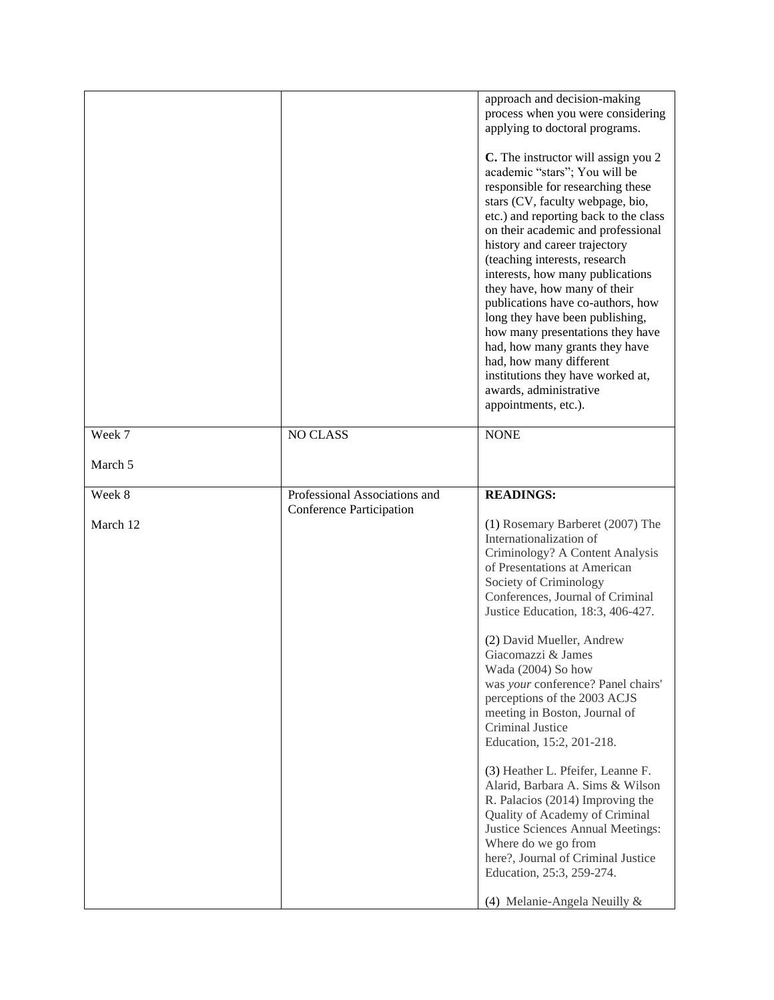|          |                                                                  | approach and decision-making<br>process when you were considering<br>applying to doctoral programs.<br>C. The instructor will assign you 2<br>academic "stars"; You will be<br>responsible for researching these<br>stars (CV, faculty webpage, bio,<br>etc.) and reporting back to the class<br>on their academic and professional<br>history and career trajectory<br>(teaching interests, research<br>interests, how many publications<br>they have, how many of their<br>publications have co-authors, how<br>long they have been publishing,<br>how many presentations they have<br>had, how many grants they have<br>had, how many different<br>institutions they have worked at,<br>awards, administrative<br>appointments, etc.).                                          |
|----------|------------------------------------------------------------------|------------------------------------------------------------------------------------------------------------------------------------------------------------------------------------------------------------------------------------------------------------------------------------------------------------------------------------------------------------------------------------------------------------------------------------------------------------------------------------------------------------------------------------------------------------------------------------------------------------------------------------------------------------------------------------------------------------------------------------------------------------------------------------|
| Week 7   | NO CLASS                                                         | <b>NONE</b>                                                                                                                                                                                                                                                                                                                                                                                                                                                                                                                                                                                                                                                                                                                                                                        |
| March 5  |                                                                  |                                                                                                                                                                                                                                                                                                                                                                                                                                                                                                                                                                                                                                                                                                                                                                                    |
| Week 8   | Professional Associations and<br><b>Conference Participation</b> | <b>READINGS:</b>                                                                                                                                                                                                                                                                                                                                                                                                                                                                                                                                                                                                                                                                                                                                                                   |
| March 12 |                                                                  | (1) Rosemary Barberet (2007) The<br>Internationalization of<br>Criminology? A Content Analysis<br>of Presentations at American<br>Society of Criminology<br>Conferences, Journal of Criminal<br>Justice Education, 18:3, 406-427.<br>(2) David Mueller, Andrew<br>Giacomazzi & James<br>Wada (2004) So how<br>was your conference? Panel chairs'<br>perceptions of the 2003 ACJS<br>meeting in Boston, Journal of<br>Criminal Justice<br>Education, 15:2, 201-218.<br>(3) Heather L. Pfeifer, Leanne F.<br>Alarid, Barbara A. Sims & Wilson<br>R. Palacios (2014) Improving the<br>Quality of Academy of Criminal<br>Justice Sciences Annual Meetings:<br>Where do we go from<br>here?, Journal of Criminal Justice<br>Education, 25:3, 259-274.<br>(4) Melanie-Angela Neuilly $&$ |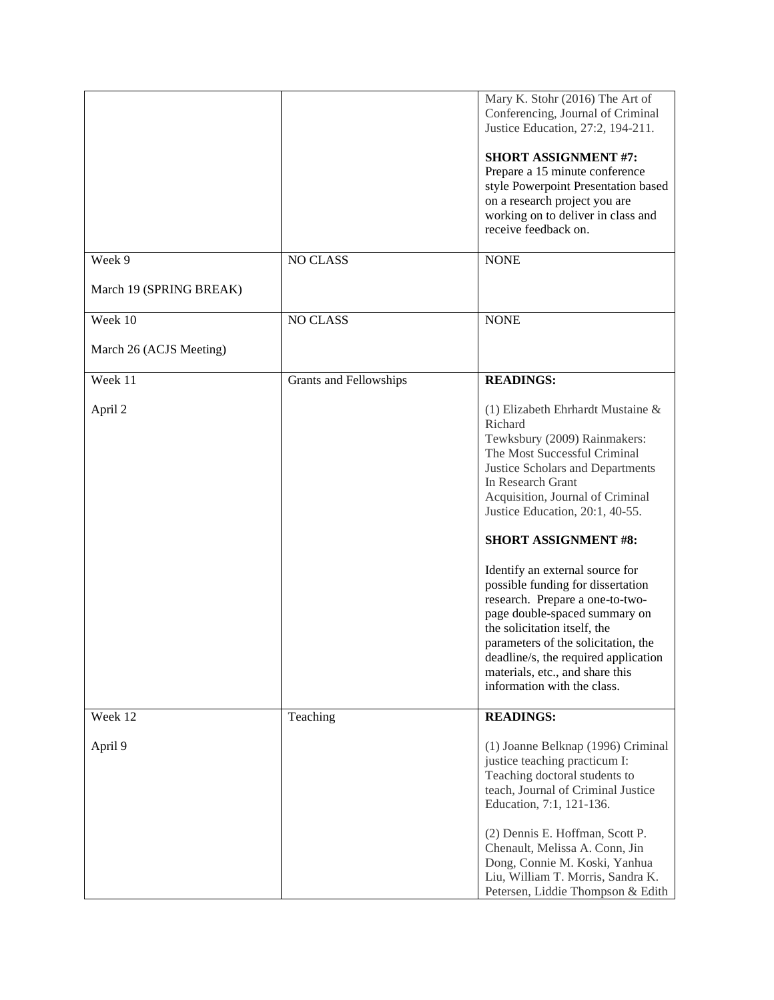|                         |                        | Mary K. Stohr (2016) The Art of<br>Conferencing, Journal of Criminal<br>Justice Education, 27:2, 194-211.                                                                                                                                                                                                                                                                                                                                                                                                                                                                                                |
|-------------------------|------------------------|----------------------------------------------------------------------------------------------------------------------------------------------------------------------------------------------------------------------------------------------------------------------------------------------------------------------------------------------------------------------------------------------------------------------------------------------------------------------------------------------------------------------------------------------------------------------------------------------------------|
|                         |                        | <b>SHORT ASSIGNMENT #7:</b><br>Prepare a 15 minute conference<br>style Powerpoint Presentation based<br>on a research project you are<br>working on to deliver in class and<br>receive feedback on.                                                                                                                                                                                                                                                                                                                                                                                                      |
| Week 9                  | <b>NO CLASS</b>        | <b>NONE</b>                                                                                                                                                                                                                                                                                                                                                                                                                                                                                                                                                                                              |
| March 19 (SPRING BREAK) |                        |                                                                                                                                                                                                                                                                                                                                                                                                                                                                                                                                                                                                          |
| Week 10                 | <b>NO CLASS</b>        | <b>NONE</b>                                                                                                                                                                                                                                                                                                                                                                                                                                                                                                                                                                                              |
| March 26 (ACJS Meeting) |                        |                                                                                                                                                                                                                                                                                                                                                                                                                                                                                                                                                                                                          |
| Week 11                 | Grants and Fellowships | <b>READINGS:</b>                                                                                                                                                                                                                                                                                                                                                                                                                                                                                                                                                                                         |
| April 2                 |                        | (1) Elizabeth Ehrhardt Mustaine &<br>Richard<br>Tewksbury (2009) Rainmakers:<br>The Most Successful Criminal<br>Justice Scholars and Departments<br>In Research Grant<br>Acquisition, Journal of Criminal<br>Justice Education, 20:1, 40-55.<br><b>SHORT ASSIGNMENT #8:</b><br>Identify an external source for<br>possible funding for dissertation<br>research. Prepare a one-to-two-<br>page double-spaced summary on<br>the solicitation itself, the<br>parameters of the solicitation, the<br>deadline/s, the required application<br>materials, etc., and share this<br>information with the class. |
| Week 12                 | Teaching               | <b>READINGS:</b>                                                                                                                                                                                                                                                                                                                                                                                                                                                                                                                                                                                         |
| April 9                 |                        | (1) Joanne Belknap (1996) Criminal<br>justice teaching practicum I:<br>Teaching doctoral students to<br>teach, Journal of Criminal Justice<br>Education, 7:1, 121-136.<br>(2) Dennis E. Hoffman, Scott P.<br>Chenault, Melissa A. Conn, Jin<br>Dong, Connie M. Koski, Yanhua<br>Liu, William T. Morris, Sandra K.<br>Petersen, Liddie Thompson & Edith                                                                                                                                                                                                                                                   |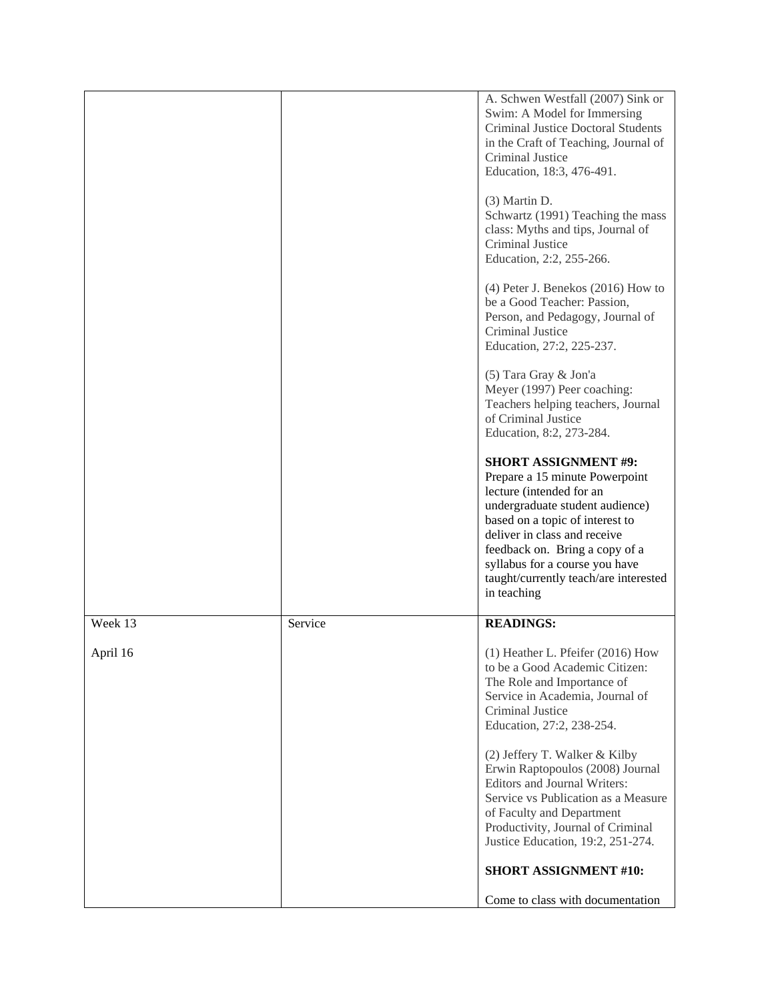|          |         | A. Schwen Westfall (2007) Sink or<br>Swim: A Model for Immersing<br>Criminal Justice Doctoral Students<br>in the Craft of Teaching, Journal of<br>Criminal Justice<br>Education, 18:3, 476-491.                                                                                                                             |
|----------|---------|-----------------------------------------------------------------------------------------------------------------------------------------------------------------------------------------------------------------------------------------------------------------------------------------------------------------------------|
|          |         | (3) Martin D.<br>Schwartz (1991) Teaching the mass<br>class: Myths and tips, Journal of<br>Criminal Justice<br>Education, 2:2, 255-266.                                                                                                                                                                                     |
|          |         | $(4)$ Peter J. Benekos $(2016)$ How to<br>be a Good Teacher: Passion,<br>Person, and Pedagogy, Journal of<br>Criminal Justice<br>Education, 27:2, 225-237.                                                                                                                                                                  |
|          |         | (5) Tara Gray & Jon'a<br>Meyer (1997) Peer coaching:<br>Teachers helping teachers, Journal<br>of Criminal Justice<br>Education, 8:2, 273-284.                                                                                                                                                                               |
|          |         | <b>SHORT ASSIGNMENT #9:</b><br>Prepare a 15 minute Powerpoint<br>lecture (intended for an<br>undergraduate student audience)<br>based on a topic of interest to<br>deliver in class and receive<br>feedback on. Bring a copy of a<br>syllabus for a course you have<br>taught/currently teach/are interested<br>in teaching |
| Week 13  | Service | <b>READINGS:</b>                                                                                                                                                                                                                                                                                                            |
| April 16 |         | (1) Heather L. Pfeifer (2016) How<br>to be a Good Academic Citizen:<br>The Role and Importance of<br>Service in Academia, Journal of<br>Criminal Justice<br>Education, 27:2, 238-254.                                                                                                                                       |
|          |         | (2) Jeffery T. Walker & Kilby<br>Erwin Raptopoulos (2008) Journal<br>Editors and Journal Writers:<br>Service vs Publication as a Measure<br>of Faculty and Department<br>Productivity, Journal of Criminal<br>Justice Education, 19:2, 251-274.                                                                             |
|          |         | <b>SHORT ASSIGNMENT #10:</b>                                                                                                                                                                                                                                                                                                |
|          |         | Come to class with documentation                                                                                                                                                                                                                                                                                            |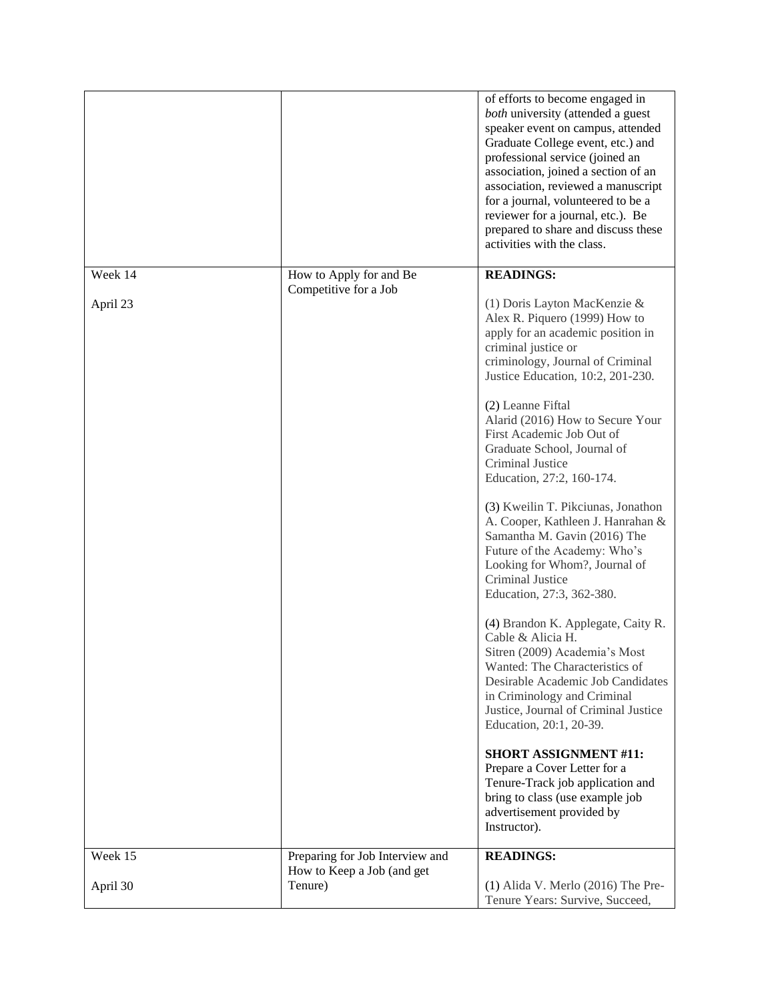|          |                                                               | of efforts to become engaged in<br>both university (attended a guest<br>speaker event on campus, attended<br>Graduate College event, etc.) and<br>professional service (joined an<br>association, joined a section of an<br>association, reviewed a manuscript<br>for a journal, volunteered to be a<br>reviewer for a journal, etc.). Be<br>prepared to share and discuss these<br>activities with the class. |
|----------|---------------------------------------------------------------|----------------------------------------------------------------------------------------------------------------------------------------------------------------------------------------------------------------------------------------------------------------------------------------------------------------------------------------------------------------------------------------------------------------|
| Week 14  | How to Apply for and Be<br>Competitive for a Job              | <b>READINGS:</b>                                                                                                                                                                                                                                                                                                                                                                                               |
| April 23 |                                                               | (1) Doris Layton MacKenzie &<br>Alex R. Piquero (1999) How to<br>apply for an academic position in<br>criminal justice or<br>criminology, Journal of Criminal<br>Justice Education, 10:2, 201-230.<br>(2) Leanne Fiftal<br>Alarid (2016) How to Secure Your<br>First Academic Job Out of<br>Graduate School, Journal of<br>Criminal Justice<br>Education, 27:2, 160-174.<br>(3) Kweilin T. Pikciunas, Jonathon |
|          |                                                               | A. Cooper, Kathleen J. Hanrahan &<br>Samantha M. Gavin (2016) The<br>Future of the Academy: Who's<br>Looking for Whom?, Journal of<br>Criminal Justice<br>Education, 27:3, 362-380.<br>(4) Brandon K. Applegate, Caity R.                                                                                                                                                                                      |
|          |                                                               | Cable & Alicia H.<br>Sitren (2009) Academia's Most<br>Wanted: The Characteristics of<br>Desirable Academic Job Candidates<br>in Criminology and Criminal<br>Justice, Journal of Criminal Justice<br>Education, 20:1, 20-39.                                                                                                                                                                                    |
|          |                                                               | <b>SHORT ASSIGNMENT #11:</b><br>Prepare a Cover Letter for a<br>Tenure-Track job application and<br>bring to class (use example job<br>advertisement provided by<br>Instructor).                                                                                                                                                                                                                               |
| Week 15  | Preparing for Job Interview and<br>How to Keep a Job (and get | <b>READINGS:</b>                                                                                                                                                                                                                                                                                                                                                                                               |
| April 30 | Tenure)                                                       | $(1)$ Alida V. Merlo $(2016)$ The Pre-<br>Tenure Years: Survive, Succeed,                                                                                                                                                                                                                                                                                                                                      |